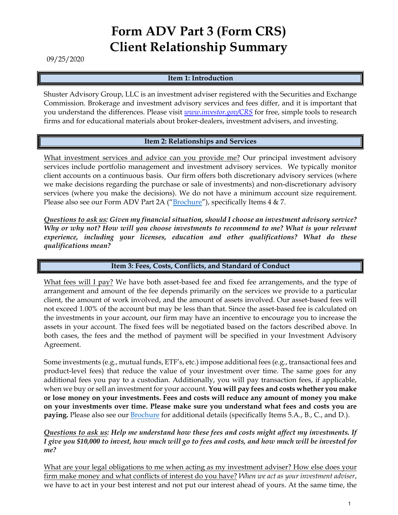# **Form ADV Part 3 (Form CRS) Client Relationship Summary**

09/25/2020

## **Item 1: Introduction**

Shuster Advisory Group, LLC is an investment adviser registered with the Securities and Exchange Commission. Brokerage and investment advisory services and fees differ, and it is important that you understand the differences. Please visit *www.investor.gov/CRS* for free, simple tools to research firms and for educational materials about broker-dealers, investment advisers, and investing.

## **Item 2: Relationships and Services**

What investment services and advice can you provide me? Our principal investment advisory services include portfolio management and investment advisory services. We typically monitor client accounts on a continuous basis. Our firm offers both discretionary advisory services (where we make decisions regarding the purchase or sale of investments) and non-discretionary advisory services (where you make the decisions). We do not have a minimum account size requirement. Please also see our Form ADV Part 2A ("Brochure"), specifically Items 4 & 7.

*Questions to ask us: Given my financial situation, should I choose an investment advisory service? Why or why not? How will you choose investments to recommend to me? What is your relevant experience, including your licenses, education and other qualifications? What do these qualifications mean?*

### **Item 3: Fees, Costs, Conflicts, and Standard of Conduct**

What fees will I pay? We have both asset-based fee and fixed fee arrangements, and the type of arrangement and amount of the fee depends primarily on the services we provide to a particular client, the amount of work involved, and the amount of assets involved. Our asset-based fees will not exceed 1.00% of the account but may be less than that. Since the asset-based fee is calculated on the investments in your account, our firm may have an incentive to encourage you to increase the assets in your account. The fixed fees will be negotiated based on the factors described above. In both cases, the fees and the method of payment will be specified in your Investment Advisory Agreement.

Some investments (e.g., mutual funds, ETF's, etc.) impose additional fees (e.g., transactional fees and product-level fees) that reduce the value of your investment over time. The same goes for any additional fees you pay to a custodian. Additionally, you will pay transaction fees, if applicable, when we buy or sell an investment for your account. **You will pay fees and costs whether you make or lose money on your investments. Fees and costs will reduce any amount of money you make on your investments over time. Please make sure you understand what fees and costs you are paying.** Please also see our Brochure for additional details (specifically Items 5.A., B., C., and D.).

### *Questions to ask us: Help me understand how these fees and costs might affect my investments. If I give you \$10,000 to invest, how much will go to fees and costs, and how much will be invested for me?*

What are your legal obligations to me when acting as my investment adviser? How else does your firm make money and what conflicts of interest do you have? *When we act as your investment adviser*, we have to act in your best interest and not put our interest ahead of yours. At the same time, the